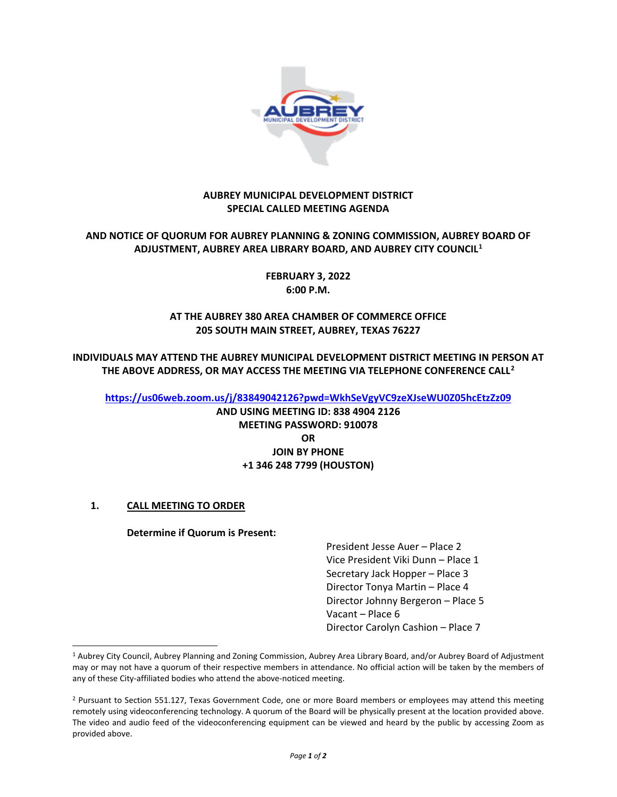

#### **AUBREY MUNICIPAL DEVELOPMENT DISTRICT SPECIAL CALLED MEETING AGENDA**

## **AND NOTICE OF QUORUM FOR AUBREY PLANNING & ZONING COMMISSION, AUBREY BOARD OF ADJUSTMENT, AUBREY AREA LIBRARY BOARD, AND AUBREY CITY COUNCIL[1](#page-0-0)**

**FEBRUARY 3, 2022 6:00 P.M.**

# **AT THE AUBREY 380 AREA CHAMBER OF COMMERCE OFFICE 205 SOUTH MAIN STREET, AUBREY, TEXAS 76227**

**INDIVIDUALS MAY ATTEND THE AUBREY MUNICIPAL DEVELOPMENT DISTRICT MEETING IN PERSON AT THE ABOVE ADDRESS, OR MAY ACCESS THE MEETING VIA TELEPHONE CONFERENCE CALL[2](#page-0-1)**

**<https://us06web.zoom.us/j/83849042126?pwd=WkhSeVgyVC9zeXJseWU0Z05hcEtzZz09>**

**AND USING MEETING ID: 838 4904 2126 MEETING PASSWORD: 910078 OR JOIN BY PHONE +1 346 248 7799 (HOUSTON)**

# **1. CALL MEETING TO ORDER**

#### **Determine if Quorum is Present:**

President Jesse Auer – Place 2 Vice President Viki Dunn – Place 1 Secretary Jack Hopper – Place 3 Director Tonya Martin – Place 4 Director Johnny Bergeron – Place 5 Vacant – Place 6 Director Carolyn Cashion – Place 7

<span id="page-0-0"></span><sup>&</sup>lt;sup>1</sup> Aubrey City Council, Aubrey Planning and Zoning Commission, Aubrey Area Library Board, and/or Aubrey Board of Adjustment may or may not have a quorum of their respective members in attendance. No official action will be taken by the members of any of these City-affiliated bodies who attend the above-noticed meeting.

<span id="page-0-1"></span><sup>&</sup>lt;sup>2</sup> Pursuant to Section 551.127, Texas Government Code, one or more Board members or employees may attend this meeting remotely using videoconferencing technology. A quorum of the Board will be physically present at the location provided above. The video and audio feed of the videoconferencing equipment can be viewed and heard by the public by accessing Zoom as provided above.